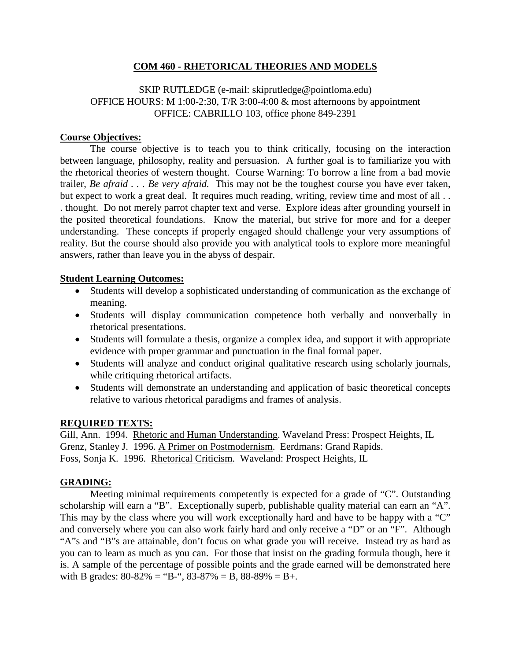## **COM 460 - RHETORICAL THEORIES AND MODELS**

## SKIP RUTLEDGE (e-mail: skiprutledge@pointloma.edu) OFFICE HOURS: M 1:00-2:30, T/R 3:00-4:00 & most afternoons by appointment OFFICE: CABRILLO 103, office phone 849-2391

#### **Course Objectives:**

The course objective is to teach you to think critically, focusing on the interaction between language, philosophy, reality and persuasion. A further goal is to familiarize you with the rhetorical theories of western thought. Course Warning: To borrow a line from a bad movie trailer, *Be afraid . . . Be very afraid.* This may not be the toughest course you have ever taken, but expect to work a great deal. It requires much reading, writing, review time and most of all . . . thought. Do not merely parrot chapter text and verse. Explore ideas after grounding yourself in the posited theoretical foundations. Know the material, but strive for more and for a deeper understanding. These concepts if properly engaged should challenge your very assumptions of reality. But the course should also provide you with analytical tools to explore more meaningful answers, rather than leave you in the abyss of despair.

#### **Student Learning Outcomes:**

- Students will develop a sophisticated understanding of communication as the exchange of meaning.
- Students will display communication competence both verbally and nonverbally in rhetorical presentations.
- Students will formulate a thesis, organize a complex idea, and support it with appropriate evidence with proper grammar and punctuation in the final formal paper.
- Students will analyze and conduct original qualitative research using scholarly journals, while critiquing rhetorical artifacts.
- Students will demonstrate an understanding and application of basic theoretical concepts relative to various rhetorical paradigms and frames of analysis.

#### **REQUIRED TEXTS:**

Gill, Ann. 1994. Rhetoric and Human Understanding. Waveland Press: Prospect Heights, IL Grenz, Stanley J. 1996. A Primer on Postmodernism. Eerdmans: Grand Rapids. Foss, Sonja K. 1996. Rhetorical Criticism. Waveland: Prospect Heights, IL

## **GRADING:**

Meeting minimal requirements competently is expected for a grade of "C". Outstanding scholarship will earn a "B". Exceptionally superb, publishable quality material can earn an "A". This may by the class where you will work exceptionally hard and have to be happy with a "C" and conversely where you can also work fairly hard and only receive a "D" or an "F". Although "A"s and "B"s are attainable, don't focus on what grade you will receive. Instead try as hard as you can to learn as much as you can. For those that insist on the grading formula though, here it is. A sample of the percentage of possible points and the grade earned will be demonstrated here with B grades:  $80-82\% =$  "B-",  $83-87\% =$  B,  $88-89\% =$  B+.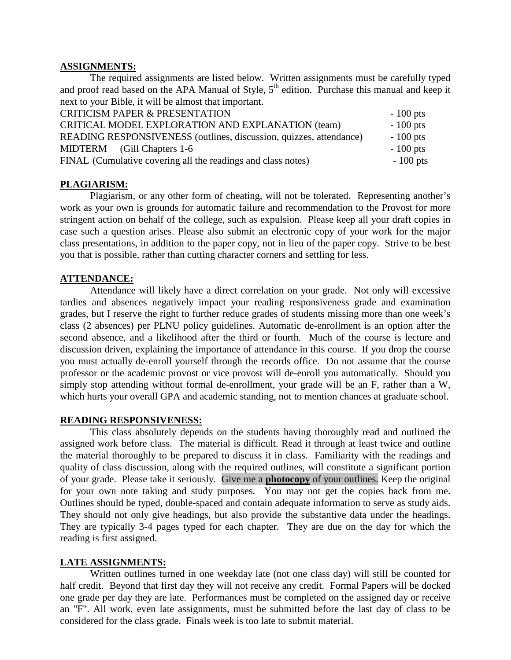#### **ASSIGNMENTS:**

The required assignments are listed below. Written assignments must be carefully typed and proof read based on the APA Manual of Style,  $5<sup>th</sup>$  edition. Purchase this manual and keep it next to your Bible, it will be almost that important.

| <b>CRITICISM PAPER &amp; PRESENTATION</b>                          | $-100$ pts |
|--------------------------------------------------------------------|------------|
| CRITICAL MODEL EXPLORATION AND EXPLANATION (team)                  | $-100$ pts |
| READING RESPONSIVENESS (outlines, discussion, quizzes, attendance) | $-100$ pts |
| MIDTERM (Gill Chapters 1-6)                                        | $-100$ pts |
| FINAL (Cumulative covering all the readings and class notes)       | $-100$ pts |

#### **PLAGIARISM:**

Plagiarism, or any other form of cheating, will not be tolerated. Representing another's work as your own is grounds for automatic failure and recommendation to the Provost for more stringent action on behalf of the college, such as expulsion. Please keep all your draft copies in case such a question arises. Please also submit an electronic copy of your work for the major class presentations, in addition to the paper copy, not in lieu of the paper copy. Strive to be best you that is possible, rather than cutting character corners and settling for less.

#### **ATTENDANCE:**

Attendance will likely have a direct correlation on your grade. Not only will excessive tardies and absences negatively impact your reading responsiveness grade and examination grades, but I reserve the right to further reduce grades of students missing more than one week's class (2 absences) per PLNU policy guidelines. Automatic de-enrollment is an option after the second absence, and a likelihood after the third or fourth. Much of the course is lecture and discussion driven, explaining the importance of attendance in this course. If you drop the course you must actually de-enroll yourself through the records office. Do not assume that the course professor or the academic provost or vice provost will de-enroll you automatically. Should you simply stop attending without formal de-enrollment, your grade will be an F, rather than a W, which hurts your overall GPA and academic standing, not to mention chances at graduate school.

#### **READING RESPONSIVENESS:**

This class absolutely depends on the students having thoroughly read and outlined the assigned work before class. The material is difficult. Read it through at least twice and outline the material thoroughly to be prepared to discuss it in class. Familiarity with the readings and quality of class discussion, along with the required outlines, will constitute a significant portion of your grade. Please take it seriously. Give me a **photocopy** of your outlines. Keep the original for your own note taking and study purposes. You may not get the copies back from me. Outlines should be typed, double-spaced and contain adequate information to serve as study aids. They should not only give headings, but also provide the substantive data under the headings. They are typically 3-4 pages typed for each chapter. They are due on the day for which the reading is first assigned.

#### **LATE ASSIGNMENTS:**

Written outlines turned in one weekday late (not one class day) will still be counted for half credit. Beyond that first day they will not receive any credit. Formal Papers will be docked one grade per day they are late. Performances must be completed on the assigned day or receive an "F". All work, even late assignments, must be submitted before the last day of class to be considered for the class grade. Finals week is too late to submit material.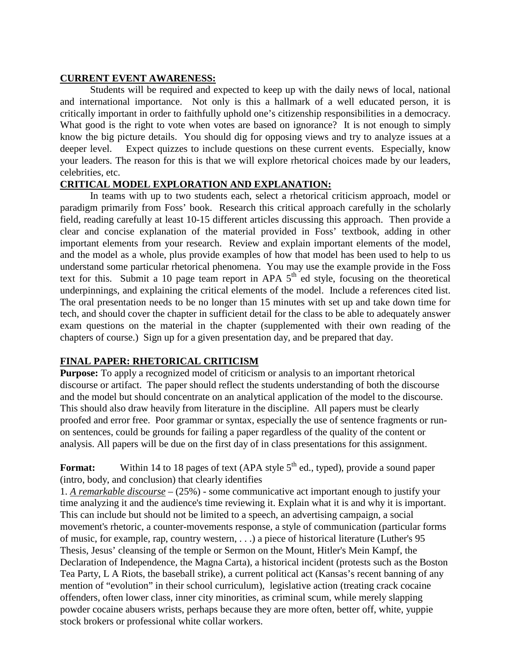## **CURRENT EVENT AWARENESS:**

Students will be required and expected to keep up with the daily news of local, national and international importance. Not only is this a hallmark of a well educated person, it is critically important in order to faithfully uphold one's citizenship responsibilities in a democracy. What good is the right to vote when votes are based on ignorance? It is not enough to simply know the big picture details. You should dig for opposing views and try to analyze issues at a deeper level. Expect quizzes to include questions on these current events. Especially, know your leaders. The reason for this is that we will explore rhetorical choices made by our leaders, celebrities, etc.

## **CRITICAL MODEL EXPLORATION AND EXPLANATION:**

In teams with up to two students each, select a rhetorical criticism approach, model or paradigm primarily from Foss' book. Research this critical approach carefully in the scholarly field, reading carefully at least 10-15 different articles discussing this approach. Then provide a clear and concise explanation of the material provided in Foss' textbook, adding in other important elements from your research. Review and explain important elements of the model, and the model as a whole, plus provide examples of how that model has been used to help to us understand some particular rhetorical phenomena. You may use the example provide in the Foss text for this. Submit a 10 page team report in APA  $5<sup>th</sup>$  ed style, focusing on the theoretical underpinnings, and explaining the critical elements of the model. Include a references cited list. The oral presentation needs to be no longer than 15 minutes with set up and take down time for tech, and should cover the chapter in sufficient detail for the class to be able to adequately answer exam questions on the material in the chapter (supplemented with their own reading of the chapters of course.) Sign up for a given presentation day, and be prepared that day.

## **FINAL PAPER: RHETORICAL CRITICISM**

**Purpose:** To apply a recognized model of criticism or analysis to an important rhetorical discourse or artifact. The paper should reflect the students understanding of both the discourse and the model but should concentrate on an analytical application of the model to the discourse. This should also draw heavily from literature in the discipline. All papers must be clearly proofed and error free. Poor grammar or syntax, especially the use of sentence fragments or runon sentences, could be grounds for failing a paper regardless of the quality of the content or analysis. All papers will be due on the first day of in class presentations for this assignment.

**Format:** Within 14 to 18 pages of text (APA style 5<sup>th</sup> ed., typed), provide a sound paper (intro, body, and conclusion) that clearly identifies

1. *A remarkable discourse* – (25%) - some communicative act important enough to justify your time analyzing it and the audience's time reviewing it. Explain what it is and why it is important. This can include but should not be limited to a speech, an advertising campaign, a social movement's rhetoric, a counter-movements response, a style of communication (particular forms of music, for example, rap, country western, . . .) a piece of historical literature (Luther's 95 Thesis, Jesus' cleansing of the temple or Sermon on the Mount, Hitler's Mein Kampf, the Declaration of Independence, the Magna Carta), a historical incident (protests such as the Boston Tea Party, L A Riots, the baseball strike), a current political act (Kansas's recent banning of any mention of "evolution" in their school curriculum), legislative action (treating crack cocaine offenders, often lower class, inner city minorities, as criminal scum, while merely slapping powder cocaine abusers wrists, perhaps because they are more often, better off, white, yuppie stock brokers or professional white collar workers.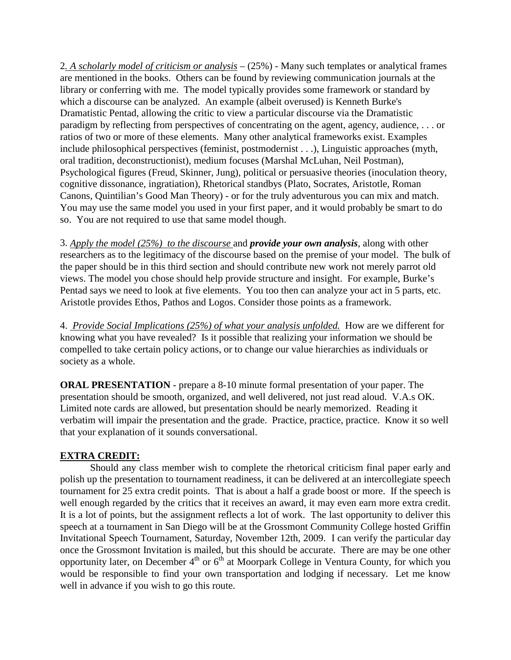2*. A scholarly model of criticism or analysis* – (25%) - Many such templates or analytical frames are mentioned in the books. Others can be found by reviewing communication journals at the library or conferring with me. The model typically provides some framework or standard by which a discourse can be analyzed. An example (albeit overused) is Kenneth Burke's Dramatistic Pentad, allowing the critic to view a particular discourse via the Dramatistic paradigm by reflecting from perspectives of concentrating on the agent, agency, audience, . . . or ratios of two or more of these elements. Many other analytical frameworks exist. Examples include philosophical perspectives (feminist, postmodernist . . .), Linguistic approaches (myth, oral tradition, deconstructionist), medium focuses (Marshal McLuhan, Neil Postman), Psychological figures (Freud, Skinner, Jung), political or persuasive theories (inoculation theory, cognitive dissonance, ingratiation), Rhetorical standbys (Plato, Socrates, Aristotle, Roman Canons, Quintilian's Good Man Theory) - or for the truly adventurous you can mix and match. You may use the same model you used in your first paper, and it would probably be smart to do so. You are not required to use that same model though.

3. *Apply the model (25%) to the discourse* and *provide your own analysis*, along with other researchers as to the legitimacy of the discourse based on the premise of your model. The bulk of the paper should be in this third section and should contribute new work not merely parrot old views. The model you chose should help provide structure and insight. For example, Burke's Pentad says we need to look at five elements. You too then can analyze your act in 5 parts, etc. Aristotle provides Ethos, Pathos and Logos. Consider those points as a framework.

4. *Provide Social Implications (25%) of what your analysis unfolded.* How are we different for knowing what you have revealed? Is it possible that realizing your information we should be compelled to take certain policy actions, or to change our value hierarchies as individuals or society as a whole.

**ORAL PRESENTATION** - prepare a 8-10 minute formal presentation of your paper. The presentation should be smooth, organized, and well delivered, not just read aloud. V.A.s OK. Limited note cards are allowed, but presentation should be nearly memorized. Reading it verbatim will impair the presentation and the grade. Practice, practice, practice. Know it so well that your explanation of it sounds conversational.

## **EXTRA CREDIT:**

Should any class member wish to complete the rhetorical criticism final paper early and polish up the presentation to tournament readiness, it can be delivered at an intercollegiate speech tournament for 25 extra credit points. That is about a half a grade boost or more. If the speech is well enough regarded by the critics that it receives an award, it may even earn more extra credit. It is a lot of points, but the assignment reflects a lot of work. The last opportunity to deliver this speech at a tournament in San Diego will be at the Grossmont Community College hosted Griffin Invitational Speech Tournament, Saturday, November 12th, 2009. I can verify the particular day once the Grossmont Invitation is mailed, but this should be accurate. There are may be one other opportunity later, on December  $4<sup>th</sup>$  or  $6<sup>th</sup>$  at Moorpark College in Ventura County, for which you would be responsible to find your own transportation and lodging if necessary. Let me know well in advance if you wish to go this route.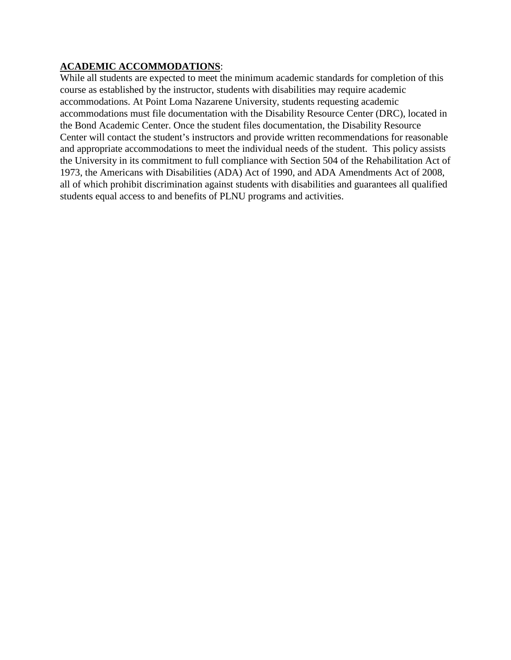## **ACADEMIC ACCOMMODATIONS**:

While all students are expected to meet the minimum academic standards for completion of this course as established by the instructor, students with disabilities may require academic accommodations. At Point Loma Nazarene University, students requesting academic accommodations must file documentation with the Disability Resource Center (DRC), located in the Bond Academic Center. Once the student files documentation, the Disability Resource Center will contact the student's instructors and provide written recommendations for reasonable and appropriate accommodations to meet the individual needs of the student. This policy assists the University in its commitment to full compliance with Section 504 of the Rehabilitation Act of 1973, the Americans with Disabilities (ADA) Act of 1990, and ADA Amendments Act of 2008, all of which prohibit discrimination against students with disabilities and guarantees all qualified students equal access to and benefits of PLNU programs and activities.